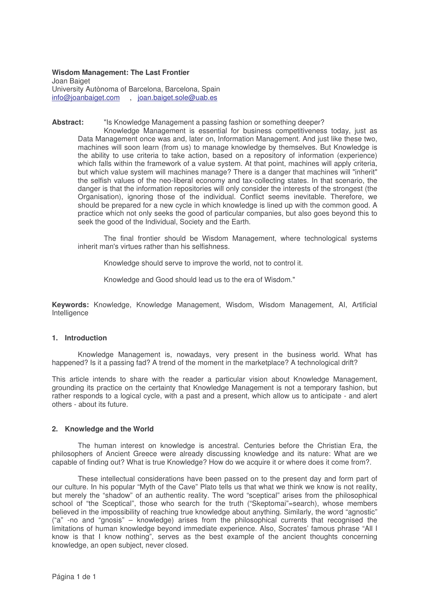## **Wisdom Management: The Last Frontier**

Joan Baiget University Autònoma of Barcelona, Barcelona, Spain info@joanbaiget.com , joan.baiget.sole@uab.es

### **Abstract:** "Is Knowledge Management a passing fashion or something deeper?

Knowledge Management is essential for business competitiveness today, just as Data Management once was and, later on, Information Management. And just like these two, machines will soon learn (from us) to manage knowledge by themselves. But Knowledge is the ability to use criteria to take action, based on a repository of information (experience) which falls within the framework of a value system. At that point, machines will apply criteria, but which value system will machines manage? There is a danger that machines will "inherit" the selfish values of the neo-liberal economy and tax-collecting states. In that scenario, the danger is that the information repositories will only consider the interests of the strongest (the Organisation), ignoring those of the individual. Conflict seems inevitable. Therefore, we should be prepared for a new cycle in which knowledge is lined up with the common good. A practice which not only seeks the good of particular companies, but also goes beyond this to seek the good of the Individual, Society and the Earth.

The final frontier should be Wisdom Management, where technological systems inherit man's virtues rather than his selfishness.

Knowledge should serve to improve the world, not to control it.

Knowledge and Good should lead us to the era of Wisdom."

**Keywords:** Knowledge, Knowledge Management, Wisdom, Wisdom Management, AI, Artificial Intelligence

### **1. Introduction**

Knowledge Management is, nowadays, very present in the business world. What has happened? Is it a passing fad? A trend of the moment in the marketplace? A technological drift?

This article intends to share with the reader a particular vision about Knowledge Management, grounding its practice on the certainty that Knowledge Management is not a temporary fashion, but rather responds to a logical cycle, with a past and a present, which allow us to anticipate - and alert others - about its future.

## **2. Knowledge and the World**

The human interest on knowledge is ancestral. Centuries before the Christian Era, the philosophers of Ancient Greece were already discussing knowledge and its nature: What are we capable of finding out? What is true Knowledge? How do we acquire it or where does it come from?.

These intellectual considerations have been passed on to the present day and form part of our culture. In his popular "Myth of the Cave" Plato tells us that what we think we know is not reality, but merely the "shadow" of an authentic reality. The word "sceptical" arises from the philosophical school of "the Sceptical", those who search for the truth ("Skeptomai"=search), whose members believed in the impossibility of reaching true knowledge about anything. Similarly, the word "agnostic" ("a" -no and "gnosis" – knowledge) arises from the philosophical currents that recognised the limitations of human knowledge beyond immediate experience. Also, Socrates' famous phrase "All I know is that I know nothing", serves as the best example of the ancient thoughts concerning knowledge, an open subject, never closed.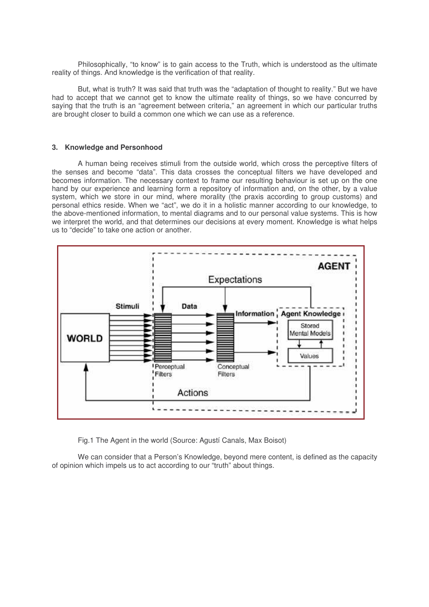Philosophically, "to know" is to gain access to the Truth, which is understood as the ultimate reality of things. And knowledge is the verification of that reality.

But, what is truth? It was said that truth was the "adaptation of thought to reality." But we have had to accept that we cannot get to know the ultimate reality of things, so we have concurred by saying that the truth is an "agreement between criteria," an agreement in which our particular truths are brought closer to build a common one which we can use as a reference.

#### **3. Knowledge and Personhood**

A human being receives stimuli from the outside world, which cross the perceptive filters of the senses and become "data". This data crosses the conceptual filters we have developed and becomes information. The necessary context to frame our resulting behaviour is set up on the one hand by our experience and learning form a repository of information and, on the other, by a value system, which we store in our mind, where morality (the praxis according to group customs) and personal ethics reside. When we "act", we do it in a holistic manner according to our knowledge, to the above-mentioned information, to mental diagrams and to our personal value systems. This is how we interpret the world, and that determines our decisions at every moment. Knowledge is what helps us to "decide" to take one action or another.



Fig.1 The Agent in the world (Source: Agustí Canals, Max Boisot)

We can consider that a Person's Knowledge, beyond mere content, is defined as the capacity of opinion which impels us to act according to our "truth" about things.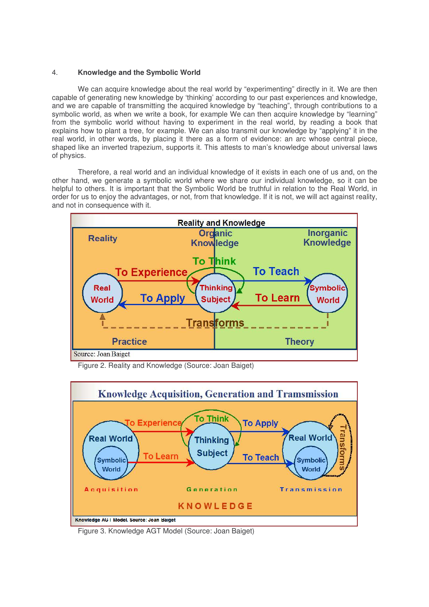# 4. **Knowledge and the Symbolic World**

We can acquire knowledge about the real world by "experimenting" directly in it. We are then capable of generating new knowledge by 'thinking' according to our past experiences and knowledge, and we are capable of transmitting the acquired knowledge by "teaching", through contributions to a symbolic world, as when we write a book, for example We can then acquire knowledge by "learning" from the symbolic world without having to experiment in the real world, by reading a book that explains how to plant a tree, for example. We can also transmit our knowledge by "applying" it in the real world, in other words, by placing it there as a form of evidence: an arc whose central piece, shaped like an inverted trapezium, supports it. This attests to man's knowledge about universal laws of physics.

Therefore, a real world and an individual knowledge of it exists in each one of us and, on the other hand, we generate a symbolic world where we share our individual knowledge, so it can be helpful to others. It is important that the Symbolic World be truthful in relation to the Real World, in order for us to enjoy the advantages, or not, from that knowledge. If it is not, we will act against reality, and not in consequence with it.



Figure 2. Reality and Knowledge (Source: Joan Baiget)



Figure 3. Knowledge AGT Model (Source: Joan Baiget)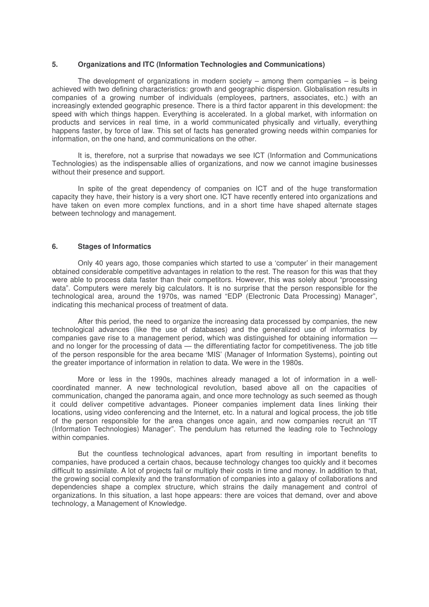## **5. Organizations and ITC (Information Technologies and Communications)**

The development of organizations in modern society  $-$  among them companies  $-$  is being achieved with two defining characteristics: growth and geographic dispersion. Globalisation results in companies of a growing number of individuals (employees, partners, associates, etc.) with an increasingly extended geographic presence. There is a third factor apparent in this development: the speed with which things happen. Everything is accelerated. In a global market, with information on products and services in real time, in a world communicated physically and virtually, everything happens faster, by force of law. This set of facts has generated growing needs within companies for information, on the one hand, and communications on the other.

It is, therefore, not a surprise that nowadays we see ICT (Information and Communications Technologies) as the indispensable allies of organizations, and now we cannot imagine businesses without their presence and support.

In spite of the great dependency of companies on ICT and of the huge transformation capacity they have, their history is a very short one. ICT have recently entered into organizations and have taken on even more complex functions, and in a short time have shaped alternate stages between technology and management.

#### **6. Stages of Informatics**

Only 40 years ago, those companies which started to use a 'computer' in their management obtained considerable competitive advantages in relation to the rest. The reason for this was that they were able to process data faster than their competitors. However, this was solely about "processing data". Computers were merely big calculators. It is no surprise that the person responsible for the technological area, around the 1970s, was named "EDP (Electronic Data Processing) Manager", indicating this mechanical process of treatment of data.

After this period, the need to organize the increasing data processed by companies, the new technological advances (like the use of databases) and the generalized use of informatics by companies gave rise to a management period, which was distinguished for obtaining information and no longer for the processing of data — the differentiating factor for competitiveness. The job title of the person responsible for the area became 'MIS' (Manager of Information Systems), pointing out the greater importance of information in relation to data. We were in the 1980s.

More or less in the 1990s, machines already managed a lot of information in a wellcoordinated manner. A new technological revolution, based above all on the capacities of communication, changed the panorama again, and once more technology as such seemed as though it could deliver competitive advantages. Pioneer companies implement data lines linking their locations, using video conferencing and the Internet, etc. In a natural and logical process, the job title of the person responsible for the area changes once again, and now companies recruit an "IT (Information Technologies) Manager". The pendulum has returned the leading role to Technology within companies.

But the countless technological advances, apart from resulting in important benefits to companies, have produced a certain chaos, because technology changes too quickly and it becomes difficult to assimilate. A lot of projects fail or multiply their costs in time and money. In addition to that, the growing social complexity and the transformation of companies into a galaxy of collaborations and dependencies shape a complex structure, which strains the daily management and control of organizations. In this situation, a last hope appears: there are voices that demand, over and above technology, a Management of Knowledge.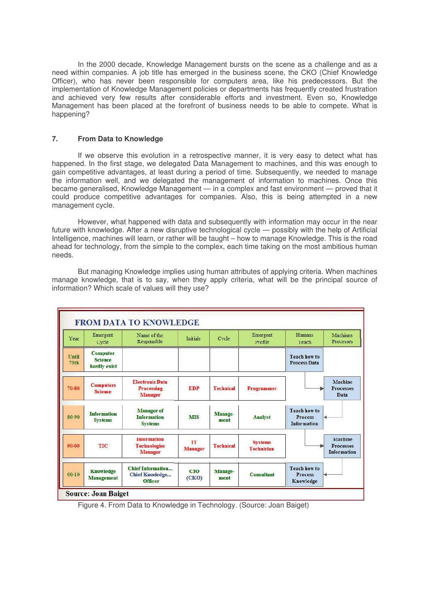In the 2000 decade, Knowledge Management bursts on the scene as a challenge and as a need within companies. A job title has emerged in the business scene, the CKO (Chief Knowledge Officer), who has never been responsible for computers area, like his predecessors. But the implementation of Knowledge Management policies or departments has frequently created frustration and achieved very few results after considerable efforts and investment. Even so, Knowledge Management has been placed at the forefront of business needs to be able to compete. What is happening?

# **7. From Data to Knowledge**

If we observe this evolution in a retrospective manner, it is very easy to detect what has happened. In the first stage, we delegated Data Management to machines, and this was enough to gain competitive advantages, at least during a period of time. Subsequently, we needed to manage the information well, and we delegated the management of information to machines. Once this became generalised, Knowledge Management — in a complex and fast environment — proved that it could produce competitive advantages for companies. Also, this is being attempted in a new management cycle.

However, what happened with data and subsequently with information may occur in the near future with knowledge. After a new disruptive technological cycle — possibly with the help of Artificial Intelligence, machines will learn, or rather will be taught – how to manage Knowledge. This is the road ahead for technology, from the simple to the complex, each time taking on the most ambitious human needs.

But managing Knowledge implies using human attributes of applying criteria. When machines manage knowledge, that is to say, when they apply criteria, what will be the principal source of information? Which scale of values will they use?



Figure 4. From Data to Knowledge in Technology. (Source: Joan Baiget)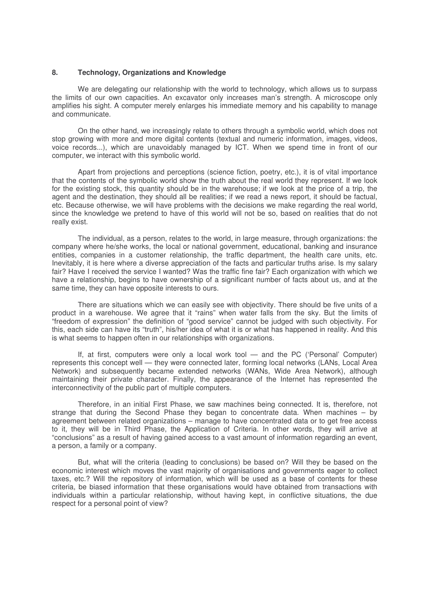#### **8. Technology, Organizations and Knowledge**

We are delegating our relationship with the world to technology, which allows us to surpass the limits of our own capacities. An excavator only increases man's strength. A microscope only amplifies his sight. A computer merely enlarges his immediate memory and his capability to manage and communicate.

On the other hand, we increasingly relate to others through a symbolic world, which does not stop growing with more and more digital contents (textual and numeric information, images, videos, voice records...), which are unavoidably managed by ICT. When we spend time in front of our computer, we interact with this symbolic world.

Apart from projections and perceptions (science fiction, poetry, etc.), it is of vital importance that the contents of the symbolic world show the truth about the real world they represent. If we look for the existing stock, this quantity should be in the warehouse; if we look at the price of a trip, the agent and the destination, they should all be realities; if we read a news report, it should be factual, etc. Because otherwise, we will have problems with the decisions we make regarding the real world, since the knowledge we pretend to have of this world will not be so, based on realities that do not really exist.

The individual, as a person, relates to the world, in large measure, through organizations: the company where he/she works, the local or national government, educational, banking and insurance entities, companies in a customer relationship, the traffic department, the health care units, etc. Inevitably, it is here where a diverse appreciation of the facts and particular truths arise. Is my salary fair? Have I received the service I wanted? Was the traffic fine fair? Each organization with which we have a relationship, begins to have ownership of a significant number of facts about us, and at the same time, they can have opposite interests to ours.

There are situations which we can easily see with objectivity. There should be five units of a product in a warehouse. We agree that it "rains" when water falls from the sky. But the limits of "freedom of expression" the definition of "good service" cannot be judged with such objectivity. For this, each side can have its "truth", his/her idea of what it is or what has happened in reality. And this is what seems to happen often in our relationships with organizations.

If, at first, computers were only a local work tool — and the PC ('Personal' Computer) represents this concept well — they were connected later, forming local networks (LANs, Local Area Network) and subsequently became extended networks (WANs, Wide Area Network), although maintaining their private character. Finally, the appearance of the Internet has represented the interconnectivity of the public part of multiple computers.

Therefore, in an initial First Phase, we saw machines being connected. It is, therefore, not strange that during the Second Phase they began to concentrate data. When machines – by agreement between related organizations – manage to have concentrated data or to get free access to it, they will be in Third Phase, the Application of Criteria. In other words, they will arrive at "conclusions" as a result of having gained access to a vast amount of information regarding an event, a person, a family or a company.

But, what will the criteria (leading to conclusions) be based on? Will they be based on the economic interest which moves the vast majority of organisations and governments eager to collect taxes, etc.? Will the repository of information, which will be used as a base of contents for these criteria, be biased information that these organisations would have obtained from transactions with individuals within a particular relationship, without having kept, in conflictive situations, the due respect for a personal point of view?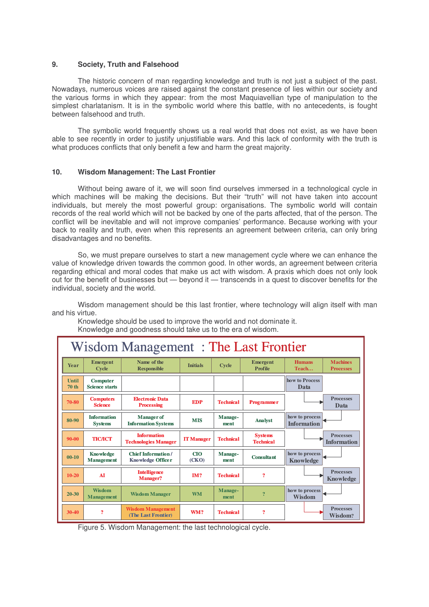## **9. Society, Truth and Falsehood**

The historic concern of man regarding knowledge and truth is not just a subject of the past. Nowadays, numerous voices are raised against the constant presence of lies within our society and the various forms in which they appear: from the most Maquiavellian type of manipulation to the simplest charlatanism. It is in the symbolic world where this battle, with no antecedents, is fought between falsehood and truth.

The symbolic world frequently shows us a real world that does not exist, as we have been able to see recently in order to justify unjustifiable wars. And this lack of conformity with the truth is what produces conflicts that only benefit a few and harm the great majority.

# **10. Wisdom Management: The Last Frontier**

Without being aware of it, we will soon find ourselves immersed in a technological cycle in which machines will be making the decisions. But their "truth" will not have taken into account individuals, but merely the most powerful group: organisations. The symbolic world will contain records of the real world which will not be backed by one of the parts affected, that of the person. The conflict will be inevitable and will not improve companies' performance. Because working with your back to reality and truth, even when this represents an agreement between criteria, can only bring disadvantages and no benefits.

So, we must prepare ourselves to start a new management cycle where we can enhance the value of knowledge driven towards the common good. In other words, an agreement between criteria regarding ethical and moral codes that make us act with wisdom. A praxis which does not only look out for the benefit of businesses but — beyond it — transcends in a quest to discover benefits for the individual, society and the world.

Wisdom management should be this last frontier, where technology will align itself with man and his virtue.

Knowledge should be used to improve the world and not dominate it. Knowledge and goodness should take us to the era of wisdom.

| Wisdom Management: The Last Frontier |                                          |                                                       |                   |                  |                                    |                                      |                                        |
|--------------------------------------|------------------------------------------|-------------------------------------------------------|-------------------|------------------|------------------------------------|--------------------------------------|----------------------------------------|
| <b>Year</b>                          | <b>Emergent</b><br><b>Cycle</b>          | Name of the<br><b>Responsible</b>                     | <b>Initials</b>   | <b>Cycle</b>     | <b>Emergent</b><br><b>Profile</b>  | <b>Humans</b><br>Teach               | <b>Machines</b><br><b>Processes</b>    |
| Until<br>70 th                       | <b>Computer</b><br><b>Science starts</b> |                                                       |                   |                  |                                    | how to Process<br>Data               |                                        |
| 70-80                                | <b>Computers</b><br><b>Science</b>       | <b>Electronic Data</b><br><b>Processing</b>           | <b>EDP</b>        | <b>Technical</b> | <b>Programmer</b>                  |                                      | <b>Processes</b><br>Data               |
| 80-90                                | <b>Information</b><br><b>Systems</b>     | <b>Manager</b> of<br><b>Information Systems</b>       | <b>MIS</b>        | Manage-<br>ment  | <b>Analyst</b>                     | how to process<br><b>Information</b> |                                        |
| $90 - 00$                            | <b>ТІСЛСТ</b>                            | <b>Information</b><br><b>Technologies Manager</b>     | <b>IT Manager</b> | <b>Technical</b> | <b>Systems</b><br><b>Technical</b> |                                      | <b>Processes</b><br><b>Information</b> |
| $00 - 10$                            | <b>Knowledge</b><br><b>Management</b>    | <b>Chief Information/</b><br><b>Knowledge Officer</b> | CIO<br>(CKO)      | Manage-<br>ment  | <b>Consultant</b>                  | how to process<br><b>Knowledge</b>   |                                        |
| $10 - 20$                            | <b>AT</b>                                | <b>Intelligence</b><br><b>Manager?</b>                | IM?               | <b>Technical</b> | $\overline{\mathbf{?}}$            |                                      | <b>Processes</b><br><b>Knowledge</b>   |
| $20 - 30$                            | <b>Wisdom</b><br><b>Management</b>       | <b>Wisdom Manager</b>                                 | <b>WM</b>         | Manage-<br>ment  | $\overline{?}$                     | how to process<br><b>Wisdom</b>      |                                        |
| 30-40                                | $\overline{?}$                           | <b>Wisdom Management</b><br>(The Last Frontier)       | WM?               | <b>Technical</b> | $\overline{2}$                     |                                      | <b>Processes</b><br>Wisdom?            |

Figure 5. Wisdom Management: the last technological cycle.